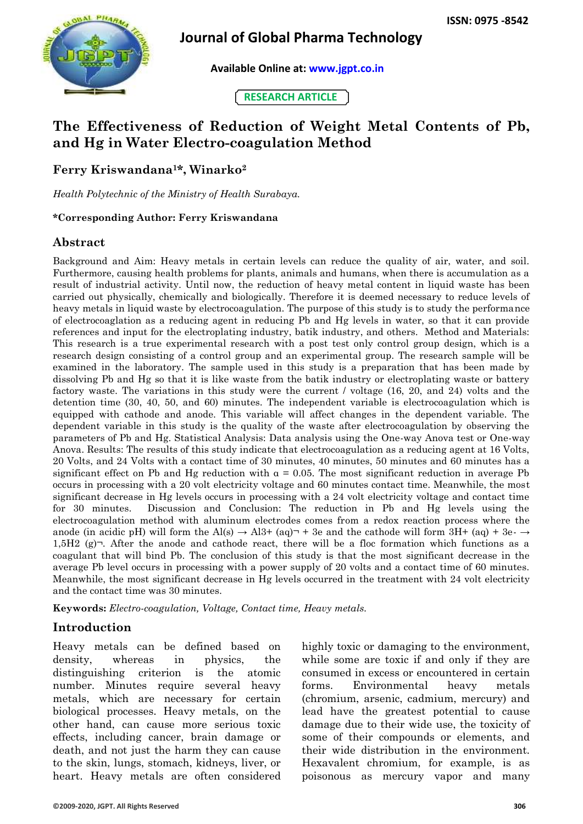

# **Journal of Global Pharma Technology**

 **Available Online at: [www.jgpt.co.in](http://www.jgpt.co.in/)**

**RESEARCH ARTICLE**

# **The Effectiveness of Reduction of Weight Metal Contents of Pb, and Hg in Water Electro-coagulation Method**

**Ferry Kriswandana1\*, Winarko<sup>2</sup>**

*Health Polytechnic of the Ministry of Health Surabaya.* 

#### **\*Corresponding Author: Ferry Kriswandana**

### **Abstract**

Background and Aim: Heavy metals in certain levels can reduce the quality of air, water, and soil. Furthermore, causing health problems for plants, animals and humans, when there is accumulation as a result of industrial activity. Until now, the reduction of heavy metal content in liquid waste has been carried out physically, chemically and biologically. Therefore it is deemed necessary to reduce levels of heavy metals in liquid waste by electrocoagulation. The purpose of this study is to study the performance of electrocoaglation as a reducing agent in reducing Pb and Hg levels in water, so that it can provide references and input for the electroplating industry, batik industry, and others. Method and Materials: This research is a true experimental research with a post test only control group design, which is a research design consisting of a control group and an experimental group. The research sample will be examined in the laboratory. The sample used in this study is a preparation that has been made by dissolving Pb and Hg so that it is like waste from the batik industry or electroplating waste or battery factory waste. The variations in this study were the current / voltage (16, 20, and 24) volts and the detention time (30, 40, 50, and 60) minutes. The independent variable is electrocoagulation which is equipped with cathode and anode. This variable will affect changes in the dependent variable. The dependent variable in this study is the quality of the waste after electrocoagulation by observing the parameters of Pb and Hg. Statistical Analysis: Data analysis using the One-way Anova test or One-way Anova. Results: The results of this study indicate that electrocoagulation as a reducing agent at 16 Volts, 20 Volts, and 24 Volts with a contact time of 30 minutes, 40 minutes, 50 minutes and 60 minutes has a significant effect on Pb and Hg reduction with  $\alpha = 0.05$ . The most significant reduction in average Pb occurs in processing with a 20 volt electricity voltage and 60 minutes contact time. Meanwhile, the most significant decrease in Hg levels occurs in processing with a 24 volt electricity voltage and contact time for 30 minutes. Discussion and Conclusion: The reduction in Pb and Hg levels using the electrocoagulation method with aluminum electrodes comes from a redox reaction process where the anode (in acidic pH) will form the Al(s)  $\rightarrow$  Al3+ (aq) $\neg$  + 3e and the cathode will form 3H+ (aq) + 3e- $\rightarrow$ 1,5H2 (g) $\neg$ . After the anode and cathode react, there will be a floc formation which functions as a coagulant that will bind Pb. The conclusion of this study is that the most significant decrease in the average Pb level occurs in processing with a power supply of 20 volts and a contact time of 60 minutes. Meanwhile, the most significant decrease in Hg levels occurred in the treatment with 24 volt electricity and the contact time was 30 minutes.

**Keywords:** *Electro-coagulation, Voltage, Contact time, Heavy metals.*

### **Introduction**

Heavy metals can be defined based on density, whereas in physics, the distinguishing criterion is the atomic number. Minutes require several heavy metals, which are necessary for certain biological processes. Heavy metals, on the other hand, can cause more serious toxic effects, including cancer, brain damage or death, and not just the harm they can cause to the skin, lungs, stomach, kidneys, liver, or heart. Heavy metals are often considered highly toxic or damaging to the environment, while some are toxic if and only if they are consumed in excess or encountered in certain forms. Environmental heavy metals (chromium, arsenic, cadmium, mercury) and lead have the greatest potential to cause damage due to their wide use, the toxicity of some of their compounds or elements, and their wide distribution in the environment. Hexavalent chromium, for example, is as poisonous as mercury vapor and many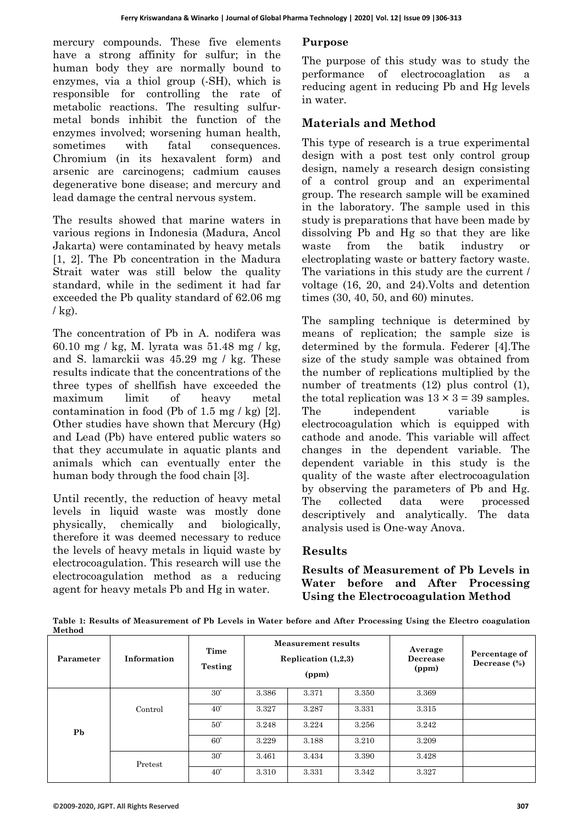mercury compounds. These five elements have a strong affinity for sulfur; in the human body they are normally bound to enzymes, via a thiol group (-SH), which is responsible for controlling the rate of metabolic reactions. The resulting sulfurmetal bonds inhibit the function of the enzymes involved; worsening human health, sometimes with fatal consequences. Chromium (in its hexavalent form) and arsenic are carcinogens; cadmium causes degenerative bone disease; and mercury and lead damage the central nervous system.

The results showed that marine waters in various regions in Indonesia (Madura, Ancol Jakarta) were contaminated by heavy metals [1, 2]. The Pb concentration in the Madura Strait water was still below the quality standard, while in the sediment it had far exceeded the Pb quality standard of 62.06 mg  $/kg$ ).

The concentration of Pb in A. nodifera was 60.10 mg / kg, M. lyrata was 51.48 mg / kg, and S. lamarckii was 45.29 mg / kg. These results indicate that the concentrations of the three types of shellfish have exceeded the maximum limit of heavy metal contamination in food (Pb of 1.5 mg  $/\text{kg}$ ) [2]. Other studies have shown that Mercury (Hg) and Lead (Pb) have entered public waters so that they accumulate in aquatic plants and animals which can eventually enter the human body through the food chain [3].

Until recently, the reduction of heavy metal levels in liquid waste was mostly done physically, chemically and biologically, therefore it was deemed necessary to reduce the levels of heavy metals in liquid waste by electrocoagulation. This research will use the electrocoagulation method as a reducing agent for heavy metals Pb and Hg in water.

### **Purpose**

The purpose of this study was to study the performance of electrocoaglation as a reducing agent in reducing Pb and Hg levels in water.

# **Materials and Method**

This type of research is a true experimental design with a post test only control group design, namely a research design consisting of a control group and an experimental group. The research sample will be examined in the laboratory. The sample used in this study is preparations that have been made by dissolving Pb and Hg so that they are like waste from the batik industry or electroplating waste or battery factory waste. The variations in this study are the current / voltage (16, 20, and 24).Volts and detention times (30, 40, 50, and 60) minutes.

The sampling technique is determined by means of replication; the sample size is determined by the formula. Federer [4].The size of the study sample was obtained from the number of replications multiplied by the number of treatments  $(12)$  plus control  $(1)$ , the total replication was  $13 \times 3 = 39$  samples. The independent variable is electrocoagulation which is equipped with cathode and anode. This variable will affect changes in the dependent variable. The dependent variable in this study is the quality of the waste after electrocoagulation by observing the parameters of Pb and Hg. The collected data were processed descriptively and analytically. The data analysis used is One-way Anova.

### **Results**

**Results of Measurement of Pb Levels in Water before and After Processing Using the Electrocoagulation Method**

**Table 1: Results of Measurement of Pb Levels in Water before and After Processing Using the Electro coagulation Method**

| Parameter      | Information | Time<br>Testing | Measurement results<br>Replication $(1,2,3)$<br>(ppm) |       |       | Average<br>Decrease<br>(ppm) | Percentage of<br>Decrease $(\%)$ |
|----------------|-------------|-----------------|-------------------------------------------------------|-------|-------|------------------------------|----------------------------------|
|                |             | 30'             | 3.386                                                 | 3.371 | 3.350 | 3.369                        |                                  |
| P <sub>b</sub> | Control     | 40'             | 3.327                                                 | 3.287 | 3.331 | 3.315                        |                                  |
|                |             | 50'             | 3.248                                                 | 3.224 | 3.256 | 3.242                        |                                  |
|                |             | 60'             | 3.229                                                 | 3.188 | 3.210 | 3.209                        |                                  |
|                | Pretest     | 30'             | 3.461                                                 | 3.434 | 3.390 | 3.428                        |                                  |
|                |             | 40'             | 3.310                                                 | 3.331 | 3.342 | 3.327                        |                                  |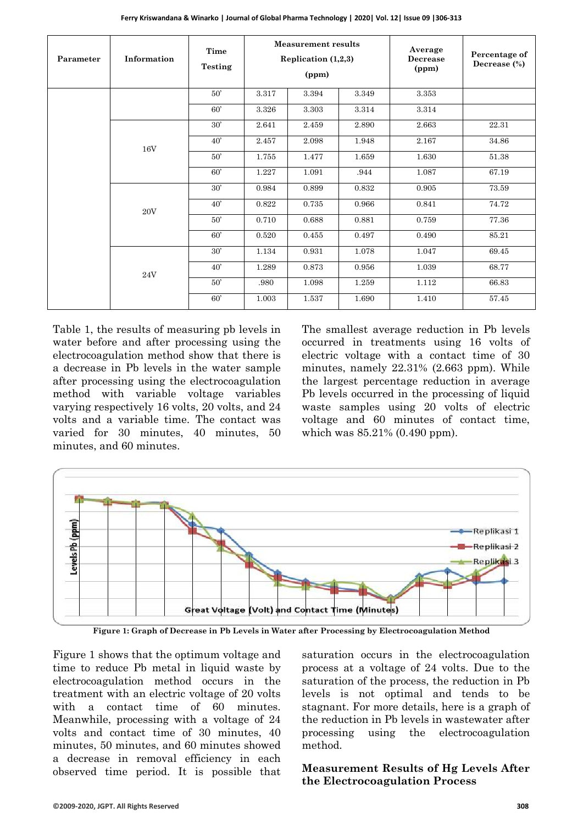| Parameter | Information | Time<br><b>Testing</b> | <b>Measurement results</b><br>Replication $(1,2,3)$<br>(ppm) |       |       | Average<br>Decrease<br>(ppm) | Percentage of<br>Decrease (%) |
|-----------|-------------|------------------------|--------------------------------------------------------------|-------|-------|------------------------------|-------------------------------|
|           |             | 50'                    | 3.317                                                        | 3.394 | 3.349 | 3.353                        |                               |
|           |             | 60'                    | 3.326                                                        | 3.303 | 3.314 | 3.314                        |                               |
|           |             | 30'                    | 2.641                                                        | 2.459 | 2.890 | 2.663                        | 22.31                         |
|           | 16V         | $40^{\circ}$           | 2.457                                                        | 2.098 | 1.948 | 2.167                        | 34.86                         |
|           |             | 50'                    | 1.755                                                        | 1.477 | 1.659 | 1.630                        | 51.38                         |
|           |             | 60'                    | 1.227                                                        | 1.091 | .944  | 1.087                        | 67.19                         |
|           | 20V         | 30'                    | 0.984                                                        | 0.899 | 0.832 | 0.905                        | 73.59                         |
|           |             | $40^{\circ}$           | 0.822                                                        | 0.735 | 0.966 | 0.841                        | 74.72                         |
|           |             | 50'                    | 0.710                                                        | 0.688 | 0.881 | 0.759                        | 77.36                         |
|           |             | 60'                    | 0.520                                                        | 0.455 | 0.497 | 0.490                        | 85.21                         |
|           | 24V         | 30'                    | 1.134                                                        | 0.931 | 1.078 | 1.047                        | 69.45                         |
|           |             | 40'                    | 1.289                                                        | 0.873 | 0.956 | 1.039                        | 68.77                         |
|           |             | 50'                    | .980                                                         | 1.098 | 1.259 | 1.112                        | 66.83                         |
|           |             | 60'                    | 1.003                                                        | 1.537 | 1.690 | 1.410                        | 57.45                         |

Table 1, the results of measuring pb levels in water before and after processing using the electrocoagulation method show that there is a decrease in Pb levels in the water sample after processing using the electrocoagulation method with variable voltage variables varying respectively 16 volts, 20 volts, and 24 volts and a variable time. The contact was varied for 30 minutes, 40 minutes, 50 minutes, and 60 minutes.

The smallest average reduction in Pb levels occurred in treatments using 16 volts of electric voltage with a contact time of 30 minutes, namely 22.31% (2.663 ppm). While the largest percentage reduction in average Pb levels occurred in the processing of liquid waste samples using 20 volts of electric voltage and 60 minutes of contact time, which was 85.21% (0.490 ppm).



**Figure 1: Graph of Decrease in Pb Levels in Water after Processing by Electrocoagulation Method**

Figure 1 shows that the optimum voltage and time to reduce Pb metal in liquid waste by electrocoagulation method occurs in the treatment with an electric voltage of 20 volts with a contact time of 60 minutes. Meanwhile, processing with a voltage of 24 volts and contact time of 30 minutes, 40 minutes, 50 minutes, and 60 minutes showed a decrease in removal efficiency in each observed time period. It is possible that saturation occurs in the electrocoagulation process at a voltage of 24 volts. Due to the saturation of the process, the reduction in Pb levels is not optimal and tends to be stagnant. For more details, here is a graph of the reduction in Pb levels in wastewater after processing using the electrocoagulation method.

#### **Measurement Results of Hg Levels After the Electrocoagulation Process**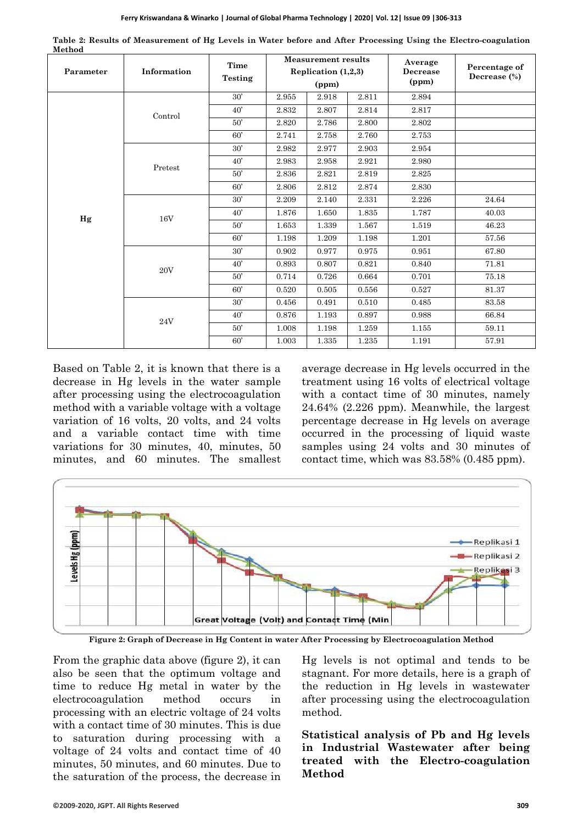| .         | Information    | Time    | <b>Measurement results</b><br>Replication (1,2,3) |       |       | Average<br><b>Decrease</b> | Percentage of<br>Decrease $(\%)$ |
|-----------|----------------|---------|---------------------------------------------------|-------|-------|----------------------------|----------------------------------|
| Parameter |                | Testing |                                                   |       |       |                            |                                  |
|           |                |         |                                                   | (ppm) |       | (ppm)                      |                                  |
|           | Control        | 30'     | 2.955                                             | 2.918 | 2.811 | 2.894                      |                                  |
|           |                | 40'     | 2.832                                             | 2.807 | 2.814 | 2.817                      |                                  |
|           |                | 50'     | 2.820                                             | 2.786 | 2.800 | 2.802                      |                                  |
|           |                | 60'     | 2.741                                             | 2.758 | 2.760 | 2.753                      |                                  |
|           | Pretest        | 30'     | 2.982                                             | 2.977 | 2.903 | 2.954                      |                                  |
|           |                | 40'     | 2.983                                             | 2.958 | 2.921 | 2.980                      |                                  |
|           |                | 50'     | 2.836                                             | 2.821 | 2.819 | 2.825                      |                                  |
|           |                | 60'     | 2.806                                             | 2.812 | 2.874 | 2.830                      |                                  |
|           | $16\mathrm{V}$ | 30'     | 2.209                                             | 2.140 | 2.331 | 2.226                      | 24.64                            |
| Hg        |                | 40'     | 1.876                                             | 1.650 | 1.835 | 1.787                      | 40.03                            |
|           |                | 50'     | 1.653                                             | 1.339 | 1.567 | 1.519                      | 46.23                            |
|           |                | 60'     | 1.198                                             | 1.209 | 1.198 | 1.201                      | 57.56                            |
|           | $20\mathrm{V}$ | 30'     | 0.902                                             | 0.977 | 0.975 | 0.951                      | 67.80                            |
|           |                | 40'     | 0.893                                             | 0.807 | 0.821 | 0.840                      | 71.81                            |
|           |                | 50'     | 0.714                                             | 0.726 | 0.664 | 0.701                      | 75.18                            |
|           |                | 60'     | 0.520                                             | 0.505 | 0.556 | 0.527                      | 81.37                            |
|           | 24V            | 30'     | 0.456                                             | 0.491 | 0.510 | 0.485                      | 83.58                            |
|           |                | 40'     | 0.876                                             | 1.193 | 0.897 | 0.988                      | 66.84                            |
|           |                | 50'     | 1.008                                             | 1.198 | 1.259 | 1.155                      | 59.11                            |
|           |                | 60'     | 1.003                                             | 1.335 | 1.235 | 1.191                      | 57.91                            |

**Table 2: Results of Measurement of Hg Levels in Water before and After Processing Using the Electro-coagulation Method**

Based on Table 2, it is known that there is a decrease in Hg levels in the water sample after processing using the electrocoagulation method with a variable voltage with a voltage variation of 16 volts, 20 volts, and 24 volts and a variable contact time with time variations for 30 minutes, 40, minutes, 50 minutes, and 60 minutes. The smallest average decrease in Hg levels occurred in the treatment using 16 volts of electrical voltage with a contact time of 30 minutes, namely 24.64% (2.226 ppm). Meanwhile, the largest percentage decrease in Hg levels on average occurred in the processing of liquid waste samples using 24 volts and 30 minutes of contact time, which was 83.58% (0.485 ppm).



**Figure 2: Graph of Decrease in Hg Content in water After Processing by Electrocoagulation Method**

From the graphic data above (figure 2), it can also be seen that the optimum voltage and time to reduce Hg metal in water by the electrocoagulation method occurs in processing with an electric voltage of 24 volts with a contact time of 30 minutes. This is due to saturation during processing with a voltage of 24 volts and contact time of 40 minutes, 50 minutes, and 60 minutes. Due to the saturation of the process, the decrease in

Hg levels is not optimal and tends to be stagnant. For more details, here is a graph of the reduction in Hg levels in wastewater after processing using the electrocoagulation method.

**Statistical analysis of Pb and Hg levels in Industrial Wastewater after being treated with the Electro-coagulation Method**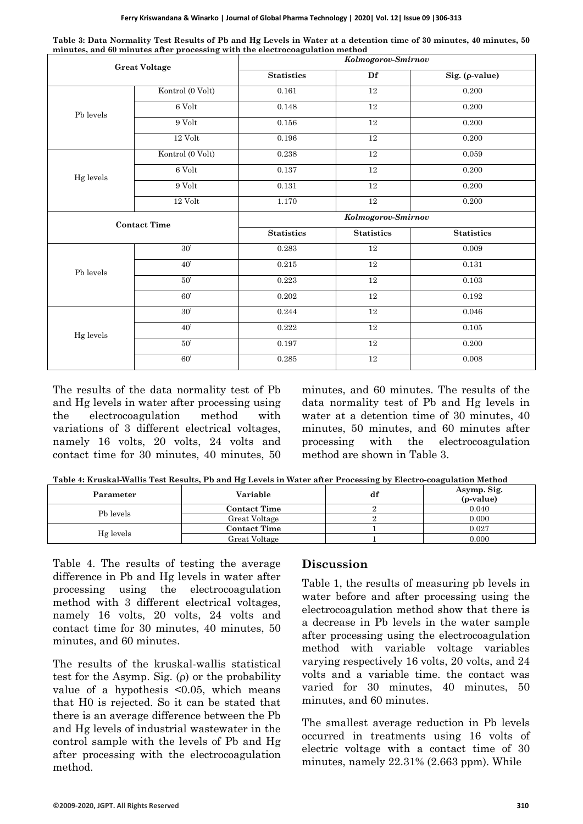| Ferry Kriswandana & Winarko   Journal of Global Pharma Technology   2020   Vol. 12   Issue 09   306-313 |
|---------------------------------------------------------------------------------------------------------|
|---------------------------------------------------------------------------------------------------------|

| minutes, and so minutes after processing while the electrocoughtation method<br><b>Great Voltage</b> |                     | Kolmogorov-Smirnov |                    |                   |  |  |  |
|------------------------------------------------------------------------------------------------------|---------------------|--------------------|--------------------|-------------------|--|--|--|
|                                                                                                      |                     | <b>Statistics</b>  | Df                 | Sig. (p-value)    |  |  |  |
|                                                                                                      | Kontrol (0 Volt)    | 0.161              | 12                 | 0.200             |  |  |  |
| Pb levels                                                                                            | $6$ Volt            | 0.148              | $12\,$             | 0.200             |  |  |  |
|                                                                                                      | $9$ Volt            | $0.156\,$          | $\overline{12}$    | 0.200             |  |  |  |
|                                                                                                      | $12$ Volt $\,$      | 0.196              | 12                 | 0.200             |  |  |  |
|                                                                                                      | Kontrol (0 Volt)    | 0.238              | $12\,$             | $\,0.059\,$       |  |  |  |
| Hg levels                                                                                            | $6$ Volt            | 0.137              | 12                 | 0.200             |  |  |  |
|                                                                                                      | 9 Volt              | $0.131\,$          | $12\,$             | 0.200             |  |  |  |
|                                                                                                      | $12\ \mathrm{Volt}$ | $1.170\,$          | $12\,$             | 0.200             |  |  |  |
|                                                                                                      | <b>Contact Time</b> |                    | Kolmogorov-Smirnov |                   |  |  |  |
|                                                                                                      |                     |                    | <b>Statistics</b>  | <b>Statistics</b> |  |  |  |
|                                                                                                      | 30'                 | 0.283              | 12                 | 0.009             |  |  |  |
| Pb levels                                                                                            | 40'                 | 0.215              | $12\,$             | $\rm 0.131$       |  |  |  |
|                                                                                                      | 50'                 | 0.223              | $12\,$             | 0.103             |  |  |  |
|                                                                                                      | 60'                 | 0.202              | $\overline{12}$    | 0.192             |  |  |  |
|                                                                                                      | 30'                 | 0.244              | 12                 | 0.046             |  |  |  |
| Hg levels                                                                                            | 40'                 | 0.222              | 12                 | $\rm 0.105$       |  |  |  |
|                                                                                                      | 50'                 | 0.197              | $12\,$             | 0.200             |  |  |  |
|                                                                                                      | 60'                 | 0.285              | $12\,$             | 0.008             |  |  |  |

**Table 3: Data Normality Test Results of Pb and Hg Levels in Water at a detention time of 30 minutes, 40 minutes, 50 minutes, and 60 minutes after processing with the electrocoagulation method**

The results of the data normality test of Pb and Hg levels in water after processing using the electrocoagulation method with variations of 3 different electrical voltages, namely 16 volts, 20 volts, 24 volts and contact time for 30 minutes, 40 minutes, 50 minutes, and 60 minutes. The results of the data normality test of Pb and Hg levels in water at a detention time of 30 minutes, 40 minutes, 50 minutes, and 60 minutes after processing with the electrocoagulation method are shown in Table 3.

**Table 4: Kruskal-Wallis Test Results, Pb and Hg Levels in Water after Processing by Electro-coagulation Method**

| Parameter | Variable            | αı | Asymp. Sig.<br>$(\rho$ -value) |
|-----------|---------------------|----|--------------------------------|
| Pb levels | <b>Contact Time</b> |    | 0.040                          |
|           | Great Voltage       |    | 0.000                          |
|           | <b>Contact Time</b> |    | 0.027                          |
| Hg levels | Great Voltage       |    | 0.000                          |

Table 4. The results of testing the average difference in Pb and Hg levels in water after processing using the electrocoagulation method with 3 different electrical voltages, namely 16 volts, 20 volts, 24 volts and contact time for 30 minutes, 40 minutes, 50 minutes, and 60 minutes.

The results of the kruskal-wallis statistical test for the Asymp. Sig. (ρ) or the probability value of a hypothesis  $\leq 0.05$ , which means that H0 is rejected. So it can be stated that there is an average difference between the Pb and Hg levels of industrial wastewater in the control sample with the levels of Pb and Hg after processing with the electrocoagulation method.

### **Discussion**

Table 1, the results of measuring pb levels in water before and after processing using the electrocoagulation method show that there is a decrease in Pb levels in the water sample after processing using the electrocoagulation method with variable voltage variables varying respectively 16 volts, 20 volts, and 24 volts and a variable time. the contact was varied for 30 minutes, 40 minutes, 50 minutes, and 60 minutes.

The smallest average reduction in Pb levels occurred in treatments using 16 volts of electric voltage with a contact time of 30 minutes, namely 22.31% (2.663 ppm). While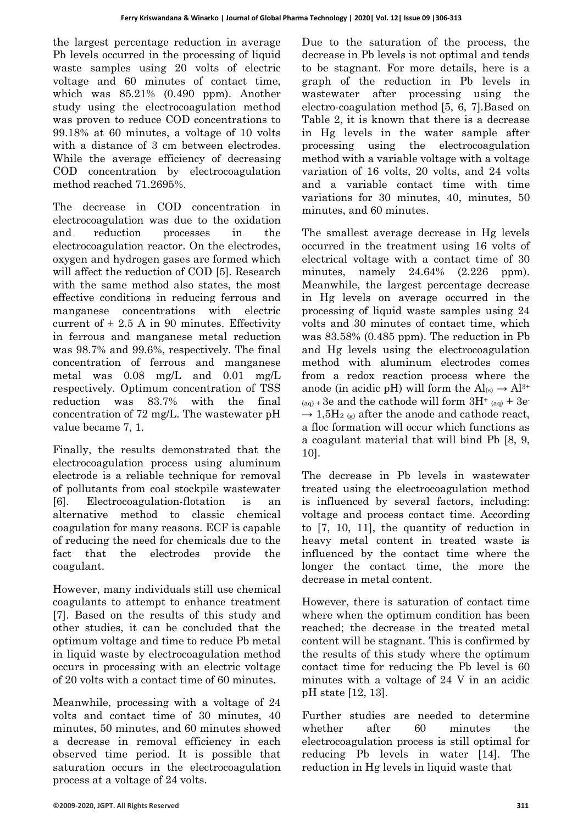the largest percentage reduction in average Pb levels occurred in the processing of liquid waste samples using 20 volts of electric voltage and 60 minutes of contact time, which was 85.21% (0.490 ppm). Another study using the electrocoagulation method was proven to reduce COD concentrations to 99.18% at 60 minutes, a voltage of 10 volts with a distance of 3 cm between electrodes. While the average efficiency of decreasing COD concentration by electrocoagulation method reached 71.2695%.

The decrease in COD concentration in electrocoagulation was due to the oxidation and reduction processes in the electrocoagulation reactor. On the electrodes, oxygen and hydrogen gases are formed which will affect the reduction of COD [5]. Research with the same method also states, the most effective conditions in reducing ferrous and manganese concentrations with electric current of  $\pm$  2.5 A in 90 minutes. Effectivity in ferrous and manganese metal reduction was 98.7% and 99.6%, respectively. The final concentration of ferrous and manganese metal was 0.08 mg/L and 0.01 mg/L respectively. Optimum concentration of TSS reduction was 83.7% with the final concentration of 72 mg/L. The wastewater pH value became 7, 1.

Finally, the results demonstrated that the electrocoagulation process using aluminum electrode is a reliable technique for removal of pollutants from coal stockpile wastewater [6]. Electrocoagulation-flotation is an alternative method to classic chemical coagulation for many reasons. ECF is capable of reducing the need for chemicals due to the fact that the electrodes provide the coagulant.

However, many individuals still use chemical coagulants to attempt to enhance treatment [7]. Based on the results of this study and other studies, it can be concluded that the optimum voltage and time to reduce Pb metal in liquid waste by electrocoagulation method occurs in processing with an electric voltage of 20 volts with a contact time of 60 minutes.

Meanwhile, processing with a voltage of 24 volts and contact time of 30 minutes, 40 minutes, 50 minutes, and 60 minutes showed a decrease in removal efficiency in each observed time period. It is possible that saturation occurs in the electrocoagulation process at a voltage of 24 volts.

Due to the saturation of the process, the decrease in Pb levels is not optimal and tends to be stagnant. For more details, here is a graph of the reduction in Pb levels in wastewater after processing using the electro-coagulation method [5, 6, 7].Based on Table 2, it is known that there is a decrease in Hg levels in the water sample after processing using the electrocoagulation method with a variable voltage with a voltage variation of 16 volts, 20 volts, and 24 volts and a variable contact time with time variations for 30 minutes, 40, minutes, 50 minutes, and 60 minutes.

The smallest average decrease in Hg levels occurred in the treatment using 16 volts of electrical voltage with a contact time of 30 minutes, namely 24.64% (2.226 ppm). Meanwhile, the largest percentage decrease in Hg levels on average occurred in the processing of liquid waste samples using 24 volts and 30 minutes of contact time, which was 83.58% (0.485 ppm). The reduction in Pb and Hg levels using the electrocoagulation method with aluminum electrodes comes from a redox reaction process where the anode (in acidic pH) will form the  $Al_{(s)} \rightarrow Al^{3+}$  $(aq) + 3e$  and the cathode will form  $3H^+$   $(aq) + 3e^ \rightarrow$  1,5H<sub>2 (g)</sub> after the anode and cathode react, a floc formation will occur which functions as a coagulant material that will bind Pb [8, 9, 10].

The decrease in Pb levels in wastewater treated using the electrocoagulation method is influenced by several factors, including: voltage and process contact time. According to [7, 10, 11], the quantity of reduction in heavy metal content in treated waste is influenced by the contact time where the longer the contact time, the more the decrease in metal content.

However, there is saturation of contact time where when the optimum condition has been reached; the decrease in the treated metal content will be stagnant. This is confirmed by the results of this study where the optimum contact time for reducing the Pb level is 60 minutes with a voltage of 24 V in an acidic pH state [12, 13].

Further studies are needed to determine whether after 60 minutes the electrocoagulation process is still optimal for reducing Pb levels in water [14]. The reduction in Hg levels in liquid waste that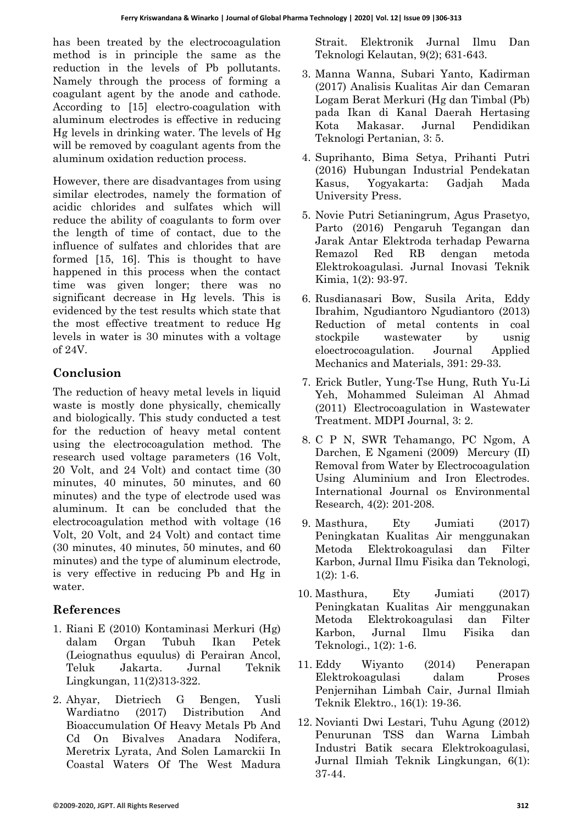has been treated by the electrocoagulation method is in principle the same as the reduction in the levels of Pb pollutants. Namely through the process of forming a coagulant agent by the anode and cathode. According to [15] electro-coagulation with aluminum electrodes is effective in reducing Hg levels in drinking water. The levels of Hg will be removed by coagulant agents from the aluminum oxidation reduction process.

However, there are disadvantages from using similar electrodes, namely the formation of acidic chlorides and sulfates which will reduce the ability of coagulants to form over the length of time of contact, due to the influence of sulfates and chlorides that are formed [15, 16]. This is thought to have happened in this process when the contact time was given longer; there was no significant decrease in Hg levels. This is evidenced by the test results which state that the most effective treatment to reduce Hg levels in water is 30 minutes with a voltage of 24V.

## **Conclusion**

The reduction of heavy metal levels in liquid waste is mostly done physically, chemically and biologically. This study conducted a test for the reduction of heavy metal content using the electrocoagulation method. The research used voltage parameters (16 Volt, 20 Volt, and 24 Volt) and contact time (30 minutes, 40 minutes, 50 minutes, and 60 minutes) and the type of electrode used was aluminum. It can be concluded that the electrocoagulation method with voltage (16 Volt, 20 Volt, and 24 Volt) and contact time (30 minutes, 40 minutes, 50 minutes, and 60 minutes) and the type of aluminum electrode, is very effective in reducing Pb and Hg in water.

## **References**

- 1. Riani E (2010) Kontaminasi Merkuri (Hg) dalam Organ Tubuh Ikan Petek (Leiognathus equulus) di Perairan Ancol, Teluk Jakarta. Jurnal Teknik Lingkungan, 11(2)313-322.
- 2. Ahyar, Dietriech G Bengen, Yusli Wardiatno (2017) [Distribution](https://journal.ipb.ac.id/index.php/jurnalikt/article/view/19297) And [Bioaccumulation Of Heavy Metals Pb And](https://journal.ipb.ac.id/index.php/jurnalikt/article/view/19297)  [Cd On Bivalves Anadara Nodifera,](https://journal.ipb.ac.id/index.php/jurnalikt/article/view/19297)  [Meretrix Lyrata, And Solen Lamarckii In](https://journal.ipb.ac.id/index.php/jurnalikt/article/view/19297)  [Coastal Waters Of The West Madura](https://journal.ipb.ac.id/index.php/jurnalikt/article/view/19297)

[Strait.](https://journal.ipb.ac.id/index.php/jurnalikt/article/view/19297) Elektronik Jurnal Ilmu Dan Teknologi Kelautan, 9(2); 631-643.

- 3. Manna Wanna, Subari Yanto, Kadirman (2017) Analisis Kualitas Air dan Cemaran Logam Berat Merkuri (Hg dan Timbal (Pb) pada Ikan di Kanal Daerah Hertasing Kota Makasar. Jurnal Pendidikan Teknologi Pertanian, 3: 5.
- 4. Suprihanto, Bima Setya, Prihanti Putri (2016) Hubungan Industrial Pendekatan Kasus, Yogyakarta: Gadjah Mada University Press.
- 5. Novie Putri Setianingrum, Agus Prasetyo, Parto (2016) Pengaruh Tegangan dan Jarak Antar Elektroda terhadap Pewarna Remazol Red RB dengan metoda Elektrokoagulasi. Jurnal Inovasi Teknik Kimia, 1(2): 93-97.
- 6. Rusdianasari Bow, Susila Arita, Eddy Ibrahim, Ngudiantoro Ngudiantoro (2013) Reduction of metal contents in coal stockpile wastewater by usnig eloectrocoagulation. Journal Applied Mechanics and Materials, 391: 29-33.
- 7. [Erick Butler,](https://sciprofiles.com/profile/author/dzh5aGhWQm5ZdzJsT21KOVJzL0RXMkZnRTI1alo2UFd5T0xITHhkNEhSTT0=) [Yung-Tse Hung,](https://sciprofiles.com/profile/12497) [Ruth Yu-Li](https://sciprofiles.com/profile/74627)  [Yeh,](https://sciprofiles.com/profile/74627) [Mohammed Suleiman Al Ahmad](https://sciprofiles.com/profile/author/M2NoV1VERHR3TXE4bUZTQlhkOFVnSkI5RzhrbHlvNG00aHh5dEZwdHdjWT0=) (2011) Electrocoagulation in Wastewater Treatment. MDPI Journal, 3: 2.
- 8. C P N, SWR Tehamango, PC Ngom, A Darchen, E Ngameni (2009) Mercury (II) Removal from Water by Electrocoagulation Using Aluminium and Iron Electrodes. International Journal os Environmental Research, 4(2): 201-208.
- 9. Masthura, Ety Jumiati (2017) Peningkatan Kualitas Air menggunakan Metoda Elektrokoagulasi dan Filter Karbon, Jurnal Ilmu Fisika dan Teknologi, 1(2): 1-6.
- 10. Masthura, Ety Jumiati (2017) Peningkatan Kualitas Air menggunakan Metoda Elektrokoagulasi dan Filter Karbon, Jurnal Ilmu Fisika dan Teknologi., 1(2): 1-6.
- 11. Eddy Wiyanto (2014) Penerapan Elektrokoagulasi dalam Proses Penjernihan Limbah Cair, Jurnal Ilmiah Teknik Elektro., 16(1): 19-36.
- 12. Novianti Dwi Lestari, Tuhu Agung (2012) Penurunan TSS dan Warna Limbah Industri Batik secara Elektrokoagulasi, Jurnal Ilmiah Teknik Lingkungan, 6(1): 37-44.